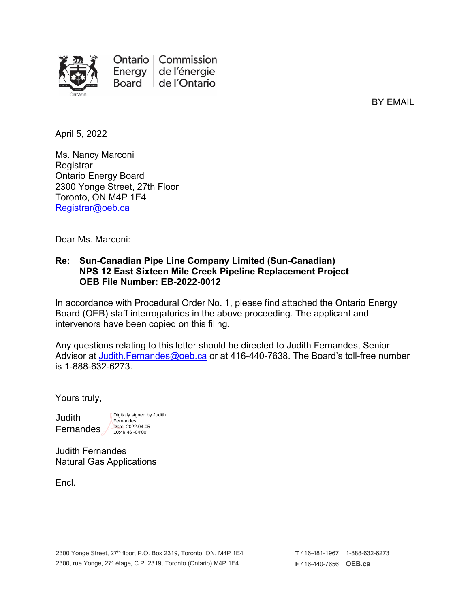

BY EMAIL

April 5, 2022

Ms. Nancy Marconi **Registrar** Ontario Energy Board 2300 Yonge Street, 27th Floor Toronto, ON M4P 1E4 [Registrar@oeb.ca](mailto:Registrar@oeb.ca)

Dear Ms. Marconi:

## **Re: Sun-Canadian Pipe Line Company Limited (Sun-Canadian) NPS 12 East Sixteen Mile Creek Pipeline Replacement Project OEB File Number: EB-2022-0012**

In accordance with Procedural Order No. 1, please find attached the Ontario Energy Board (OEB) staff interrogatories in the above proceeding. The applicant and intervenors have been copied on this filing.

Any questions relating to this letter should be directed to Judith Fernandes, Senior Advisor at [Judith.Fernandes@oeb.ca](mailto:Judith.Fernandes@oeb.ca) or at 416-440-7638. The Board's toll-free number is 1-888-632-6273.

Yours truly,

**Judith** Fernandes

Digitally signed by Judith **Fernandes** Date: 2022.04.05 10:49:46 -04'00'

Judith Fernandes Natural Gas Applications

**Encl.**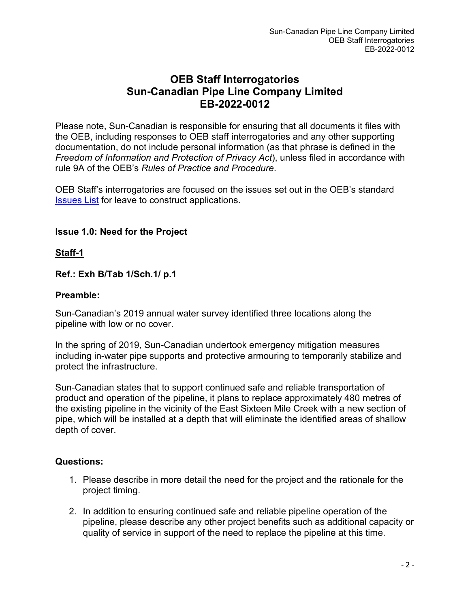# **OEB Staff Interrogatories Sun-Canadian Pipe Line Company Limited EB-2022-0012**

Please note, Sun-Canadian is responsible for ensuring that all documents it files with the OEB, including responses to OEB staff interrogatories and any other supporting documentation, do not include personal information (as that phrase is defined in the *Freedom of Information and Protection of Privacy Act*), unless filed in accordance with rule 9A of the OEB's *Rules of Practice and Procedure*.

OEB Staff's interrogatories are focused on the issues set out in the OEB's standard [Issues List](https://www.oeb.ca/sites/default/files/issues-list-LTC-natural-gas.pdf) for leave to construct applications.

# **Issue 1.0: Need for the Project**

## **Staff-1**

**Ref.: Exh B/Tab 1/Sch.1/ p.1**

## **Preamble:**

Sun-Canadian's 2019 annual water survey identified three locations along the pipeline with low or no cover.

In the spring of 2019, Sun-Canadian undertook emergency mitigation measures including in-water pipe supports and protective armouring to temporarily stabilize and protect the infrastructure.

Sun-Canadian states that to support continued safe and reliable transportation of product and operation of the pipeline, it plans to replace approximately 480 metres of the existing pipeline in the vicinity of the East Sixteen Mile Creek with a new section of pipe, which will be installed at a depth that will eliminate the identified areas of shallow depth of cover.

- 1. Please describe in more detail the need for the project and the rationale for the project timing.
- 2. In addition to ensuring continued safe and reliable pipeline operation of the pipeline, please describe any other project benefits such as additional capacity or quality of service in support of the need to replace the pipeline at this time.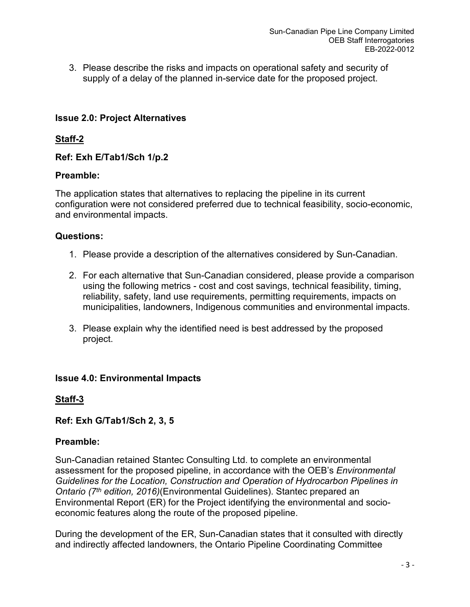3. Please describe the risks and impacts on operational safety and security of supply of a delay of the planned in-service date for the proposed project.

# **Issue 2.0: Project Alternatives**

# **Staff-2**

# **Ref: Exh E/Tab1/Sch 1/p.2**

## **Preamble:**

The application states that alternatives to replacing the pipeline in its current configuration were not considered preferred due to technical feasibility, socio-economic, and environmental impacts.

## **Questions:**

- 1. Please provide a description of the alternatives considered by Sun-Canadian.
- 2. For each alternative that Sun-Canadian considered, please provide a comparison using the following metrics - cost and cost savings, technical feasibility, timing, reliability, safety, land use requirements, permitting requirements, impacts on municipalities, landowners, Indigenous communities and environmental impacts.
- 3. Please explain why the identified need is best addressed by the proposed project.

# **Issue 4.0: Environmental Impacts**

# **Staff-3**

# **Ref: Exh G/Tab1/Sch 2, 3, 5**

# **Preamble:**

Sun-Canadian retained Stantec Consulting Ltd. to complete an environmental assessment for the proposed pipeline, in accordance with the OEB's *Environmental Guidelines for the Location, Construction and Operation of Hydrocarbon Pipelines in Ontario (7th edition, 2016)*(Environmental Guidelines). Stantec prepared an Environmental Report (ER) for the Project identifying the environmental and socioeconomic features along the route of the proposed pipeline.

During the development of the ER, Sun-Canadian states that it consulted with directly and indirectly affected landowners, the Ontario Pipeline Coordinating Committee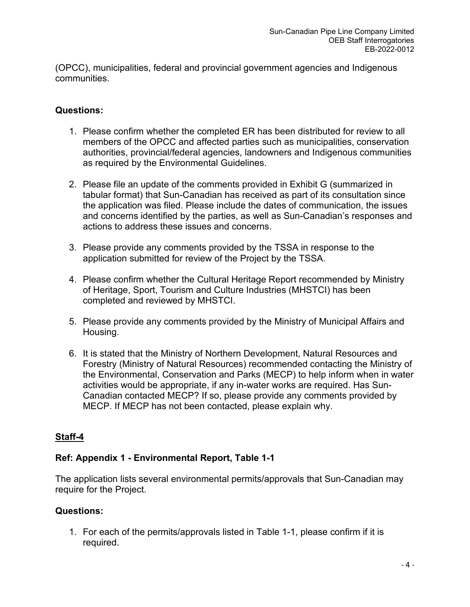(OPCC), municipalities, federal and provincial government agencies and Indigenous communities.

# **Questions:**

- 1. Please confirm whether the completed ER has been distributed for review to all members of the OPCC and affected parties such as municipalities, conservation authorities, provincial/federal agencies, landowners and Indigenous communities as required by the Environmental Guidelines.
- 2. Please file an update of the comments provided in Exhibit G (summarized in tabular format) that Sun-Canadian has received as part of its consultation since the application was filed. Please include the dates of communication, the issues and concerns identified by the parties, as well as Sun-Canadian's responses and actions to address these issues and concerns.
- 3. Please provide any comments provided by the TSSA in response to the application submitted for review of the Project by the TSSA.
- 4. Please confirm whether the Cultural Heritage Report recommended by Ministry of Heritage, Sport, Tourism and Culture Industries (MHSTCI) has been completed and reviewed by MHSTCI.
- 5. Please provide any comments provided by the Ministry of Municipal Affairs and Housing.
- 6. It is stated that the Ministry of Northern Development, Natural Resources and Forestry (Ministry of Natural Resources) recommended contacting the Ministry of the Environmental, Conservation and Parks (MECP) to help inform when in water activities would be appropriate, if any in-water works are required. Has Sun-Canadian contacted MECP? If so, please provide any comments provided by MECP. If MECP has not been contacted, please explain why.

# **Staff-4**

# **Ref: Appendix 1 - Environmental Report, Table 1-1**

The application lists several environmental permits/approvals that Sun-Canadian may require for the Project.

# **Questions:**

1. For each of the permits/approvals listed in Table 1-1, please confirm if it is required.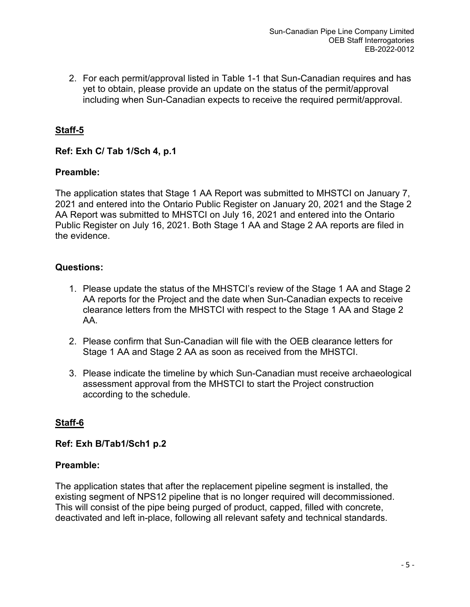2. For each permit/approval listed in Table 1-1 that Sun-Canadian requires and has yet to obtain, please provide an update on the status of the permit/approval including when Sun-Canadian expects to receive the required permit/approval.

# **Staff-5**

# **Ref: Exh C/ Tab 1/Sch 4, p.1**

## **Preamble:**

The application states that Stage 1 AA Report was submitted to MHSTCI on January 7, 2021 and entered into the Ontario Public Register on January 20, 2021 and the Stage 2 AA Report was submitted to MHSTCI on July 16, 2021 and entered into the Ontario Public Register on July 16, 2021. Both Stage 1 AA and Stage 2 AA reports are filed in the evidence.

## **Questions:**

- 1. Please update the status of the MHSTCI's review of the Stage 1 AA and Stage 2 AA reports for the Project and the date when Sun-Canadian expects to receive clearance letters from the MHSTCI with respect to the Stage 1 AA and Stage 2 AA.
- 2. Please confirm that Sun-Canadian will file with the OEB clearance letters for Stage 1 AA and Stage 2 AA as soon as received from the MHSTCI.
- 3. Please indicate the timeline by which Sun-Canadian must receive archaeological assessment approval from the MHSTCI to start the Project construction according to the schedule.

# **Staff-6**

**Ref: Exh B/Tab1/Sch1 p.2**

#### **Preamble:**

The application states that after the replacement pipeline segment is installed, the existing segment of NPS12 pipeline that is no longer required will decommissioned. This will consist of the pipe being purged of product, capped, filled with concrete, deactivated and left in-place, following all relevant safety and technical standards.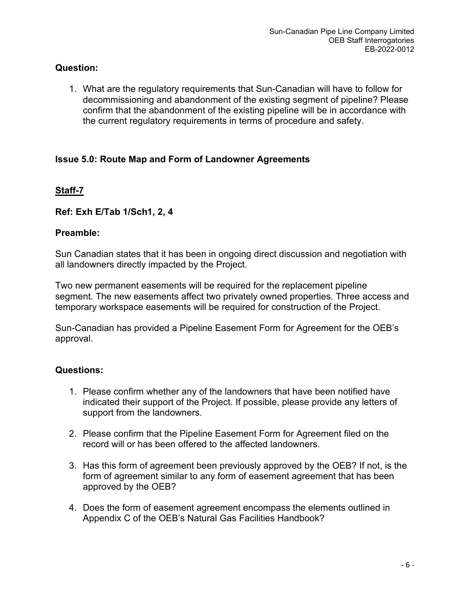# **Question:**

1. What are the regulatory requirements that Sun-Canadian will have to follow for decommissioning and abandonment of the existing segment of pipeline? Please confirm that the abandonment of the existing pipeline will be in accordance with the current regulatory requirements in terms of procedure and safety.

# **Issue 5.0: Route Map and Form of Landowner Agreements**

# **Staff-7**

## **Ref: Exh E/Tab 1/Sch1, 2, 4**

## **Preamble:**

Sun Canadian states that it has been in ongoing direct discussion and negotiation with all landowners directly impacted by the Project.

Two new permanent easements will be required for the replacement pipeline segment. The new easements affect two privately owned properties. Three access and temporary workspace easements will be required for construction of the Project.

Sun-Canadian has provided a Pipeline Easement Form for Agreement for the OEB's approval.

- 1. Please confirm whether any of the landowners that have been notified have indicated their support of the Project. If possible, please provide any letters of support from the landowners.
- 2. Please confirm that the Pipeline Easement Form for Agreement filed on the record will or has been offered to the affected landowners.
- 3. Has this form of agreement been previously approved by the OEB? If not, is the form of agreement similar to any form of easement agreement that has been approved by the OEB?
- 4. Does the form of easement agreement encompass the elements outlined in Appendix C of the OEB's Natural Gas Facilities Handbook?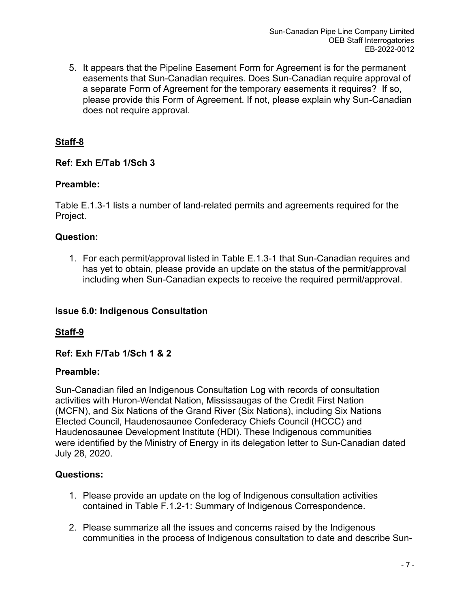5. It appears that the Pipeline Easement Form for Agreement is for the permanent easements that Sun-Canadian requires. Does Sun-Canadian require approval of a separate Form of Agreement for the temporary easements it requires? If so, please provide this Form of Agreement. If not, please explain why Sun-Canadian does not require approval.

# **Staff-8**

# **Ref: Exh E/Tab 1/Sch 3**

# **Preamble:**

Table E.1.3-1 lists a number of land-related permits and agreements required for the Project.

# **Question:**

1. For each permit/approval listed in Table E.1.3-1 that Sun-Canadian requires and has yet to obtain, please provide an update on the status of the permit/approval including when Sun-Canadian expects to receive the required permit/approval.

# **Issue 6.0: Indigenous Consultation**

# **Staff-9**

# **Ref: Exh F/Tab 1/Sch 1 & 2**

# **Preamble:**

Sun-Canadian filed an Indigenous Consultation Log with records of consultation activities with Huron-Wendat Nation, Mississaugas of the Credit First Nation (MCFN), and Six Nations of the Grand River (Six Nations), including Six Nations Elected Council, Haudenosaunee Confederacy Chiefs Council (HCCC) and Haudenosaunee Development Institute (HDI). These Indigenous communities were identified by the Ministry of Energy in its delegation letter to Sun-Canadian dated July 28, 2020.

- 1. Please provide an update on the log of Indigenous consultation activities contained in Table F.1.2-1: Summary of Indigenous Correspondence.
- 2. Please summarize all the issues and concerns raised by the Indigenous communities in the process of Indigenous consultation to date and describe Sun-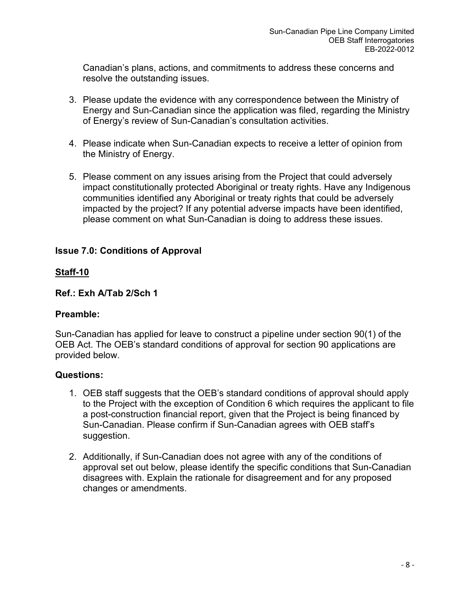Canadian's plans, actions, and commitments to address these concerns and resolve the outstanding issues.

- 3. Please update the evidence with any correspondence between the Ministry of Energy and Sun-Canadian since the application was filed, regarding the Ministry of Energy's review of Sun-Canadian's consultation activities.
- 4. Please indicate when Sun-Canadian expects to receive a letter of opinion from the Ministry of Energy.
- 5. Please comment on any issues arising from the Project that could adversely impact constitutionally protected Aboriginal or treaty rights. Have any Indigenous communities identified any Aboriginal or treaty rights that could be adversely impacted by the project? If any potential adverse impacts have been identified, please comment on what Sun-Canadian is doing to address these issues.

# **Issue 7.0: Conditions of Approval**

## **Staff-10**

#### **Ref.: Exh A/Tab 2/Sch 1**

#### **Preamble:**

Sun-Canadian has applied for leave to construct a pipeline under section 90(1) of the OEB Act. The OEB's standard conditions of approval for section 90 applications are provided below.

- 1. OEB staff suggests that the OEB's standard conditions of approval should apply to the Project with the exception of Condition 6 which requires the applicant to file a post-construction financial report, given that the Project is being financed by Sun-Canadian. Please confirm if Sun-Canadian agrees with OEB staff's suggestion.
- 2. Additionally, if Sun-Canadian does not agree with any of the conditions of approval set out below, please identify the specific conditions that Sun-Canadian disagrees with. Explain the rationale for disagreement and for any proposed changes or amendments.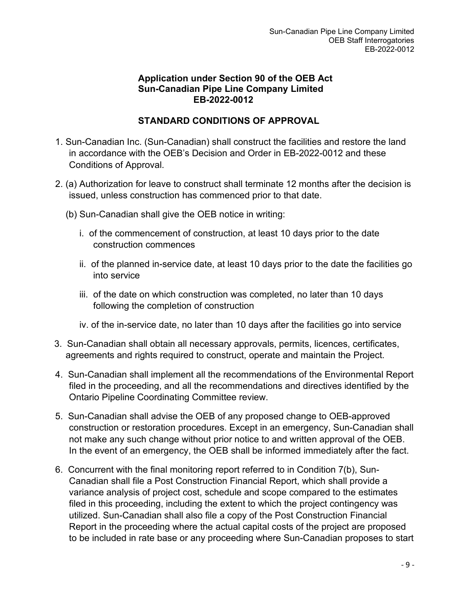# **Application under Section 90 of the OEB Act Sun-Canadian Pipe Line Company Limited EB-2022-0012**

# **STANDARD CONDITIONS OF APPROVAL**

- 1. Sun-Canadian Inc. (Sun-Canadian) shall construct the facilities and restore the land in accordance with the OEB's Decision and Order in EB-2022-0012 and these Conditions of Approval.
- 2. (a) Authorization for leave to construct shall terminate 12 months after the decision is issued, unless construction has commenced prior to that date.
	- (b) Sun-Canadian shall give the OEB notice in writing:
		- i. of the commencement of construction, at least 10 days prior to the date construction commences
		- ii. of the planned in-service date, at least 10 days prior to the date the facilities go into service
		- iii. of the date on which construction was completed, no later than 10 days following the completion of construction
		- iv. of the in-service date, no later than 10 days after the facilities go into service
- 3. Sun-Canadian shall obtain all necessary approvals, permits, licences, certificates, agreements and rights required to construct, operate and maintain the Project.
- 4. Sun-Canadian shall implement all the recommendations of the Environmental Report filed in the proceeding, and all the recommendations and directives identified by the Ontario Pipeline Coordinating Committee review.
- 5. Sun-Canadian shall advise the OEB of any proposed change to OEB-approved construction or restoration procedures. Except in an emergency, Sun-Canadian shall not make any such change without prior notice to and written approval of the OEB. In the event of an emergency, the OEB shall be informed immediately after the fact.
- 6. Concurrent with the final monitoring report referred to in Condition 7(b), Sun-Canadian shall file a Post Construction Financial Report, which shall provide a variance analysis of project cost, schedule and scope compared to the estimates filed in this proceeding, including the extent to which the project contingency was utilized. Sun-Canadian shall also file a copy of the Post Construction Financial Report in the proceeding where the actual capital costs of the project are proposed to be included in rate base or any proceeding where Sun-Canadian proposes to start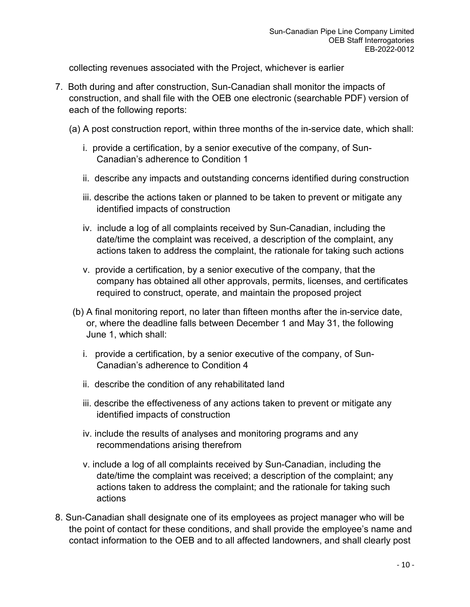collecting revenues associated with the Project, whichever is earlier

- 7. Both during and after construction, Sun-Canadian shall monitor the impacts of construction, and shall file with the OEB one electronic (searchable PDF) version of each of the following reports:
	- (a) A post construction report, within three months of the in-service date, which shall:
		- i. provide a certification, by a senior executive of the company, of Sun-Canadian's adherence to Condition 1
		- ii. describe any impacts and outstanding concerns identified during construction
		- iii. describe the actions taken or planned to be taken to prevent or mitigate any identified impacts of construction
		- iv. include a log of all complaints received by Sun-Canadian, including the date/time the complaint was received, a description of the complaint, any actions taken to address the complaint, the rationale for taking such actions
		- v. provide a certification, by a senior executive of the company, that the company has obtained all other approvals, permits, licenses, and certificates required to construct, operate, and maintain the proposed project
	- (b) A final monitoring report, no later than fifteen months after the in-service date, or, where the deadline falls between December 1 and May 31, the following June 1, which shall:
		- i. provide a certification, by a senior executive of the company, of Sun-Canadian's adherence to Condition 4
		- ii. describe the condition of any rehabilitated land
		- iii. describe the effectiveness of any actions taken to prevent or mitigate any identified impacts of construction
		- iv. include the results of analyses and monitoring programs and any recommendations arising therefrom
		- v. include a log of all complaints received by Sun-Canadian, including the date/time the complaint was received; a description of the complaint; any actions taken to address the complaint; and the rationale for taking such actions
- 8. Sun-Canadian shall designate one of its employees as project manager who will be the point of contact for these conditions, and shall provide the employee's name and contact information to the OEB and to all affected landowners, and shall clearly post